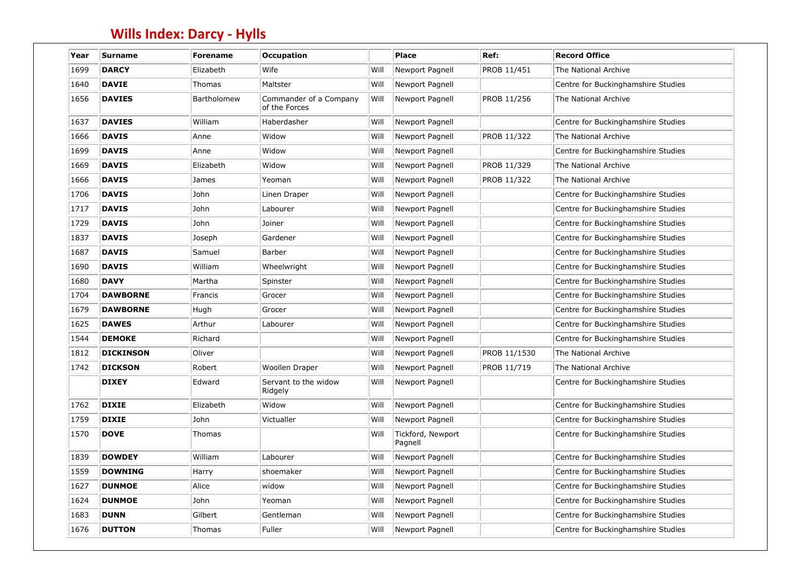| Year | Surname          | <b>Forename</b> | <b>Occupation</b>                       |      | <b>Place</b>                 | Ref:         | <b>Record Office</b>               |
|------|------------------|-----------------|-----------------------------------------|------|------------------------------|--------------|------------------------------------|
| 1699 | <b>DARCY</b>     | Elizabeth       | Wife                                    | Will | Newport Pagnell              | PROB 11/451  | The National Archive               |
| 1640 | <b>DAVIE</b>     | Thomas          | Maltster                                | Will | Newport Pagnell              |              | Centre for Buckinghamshire Studies |
| 1656 | <b>DAVIES</b>    | Bartholomew     | Commander of a Company<br>of the Forces | Will | Newport Pagnell              | PROB 11/256  | The National Archive               |
| 1637 | <b>DAVIES</b>    | William         | Haberdasher                             | Will | Newport Pagnell              |              | Centre for Buckinghamshire Studies |
| 1666 | <b>DAVIS</b>     | Anne            | Widow                                   | Will | Newport Pagnell              | PROB 11/322  | The National Archive               |
| 1699 | <b>DAVIS</b>     | Anne            | Widow                                   | Will | Newport Pagnell              |              | Centre for Buckinghamshire Studies |
| 1669 | <b>DAVIS</b>     | Elizabeth       | Widow                                   | Will | Newport Pagnell              | PROB 11/329  | The National Archive               |
| 1666 | <b>DAVIS</b>     | James           | Yeoman                                  | Will | Newport Pagnell              | PROB 11/322  | The National Archive               |
| 1706 | <b>DAVIS</b>     | John            | Linen Draper                            | Will | Newport Pagnell              |              | Centre for Buckinghamshire Studies |
| 1717 | <b>DAVIS</b>     | John            | Labourer                                | Will | Newport Pagnell              |              | Centre for Buckinghamshire Studies |
| 1729 | <b>DAVIS</b>     | John            | Joiner                                  | Will | Newport Pagnell              |              | Centre for Buckinghamshire Studies |
| 1837 | <b>DAVIS</b>     | Joseph          | Gardener                                | Will | Newport Pagnell              |              | Centre for Buckinghamshire Studies |
| 1687 | <b>DAVIS</b>     | Samuel          | Barber                                  | Will | Newport Pagnell              |              | Centre for Buckinghamshire Studies |
| 1690 | <b>DAVIS</b>     | William         | Wheelwright                             | Will | Newport Pagnell              |              | Centre for Buckinghamshire Studies |
| 1680 | <b>DAVY</b>      | Martha          | Spinster                                | Will | Newport Pagnell              |              | Centre for Buckinghamshire Studies |
| 1704 | <b>DAWBORNE</b>  | Francis         | Grocer                                  | Will | Newport Pagnell              |              | Centre for Buckinghamshire Studies |
| 1679 | <b>DAWBORNE</b>  | Hugh            | Grocer                                  | Will | Newport Pagnell              |              | Centre for Buckinghamshire Studies |
| 1625 | <b>DAWES</b>     | Arthur          | Labourer                                | Will | Newport Pagnell              |              | Centre for Buckinghamshire Studies |
| 1544 | <b>DEMOKE</b>    | Richard         |                                         | Will | Newport Pagnell              |              | Centre for Buckinghamshire Studies |
| 1812 | <b>DICKINSON</b> | Oliver          |                                         | Will | Newport Pagnell              | PROB 11/1530 | The National Archive               |
| 1742 | <b>DICKSON</b>   | Robert          | Woollen Draper                          | Will | Newport Pagnell              | PROB 11/719  | The National Archive               |
|      | <b>DIXEY</b>     | Edward          | Servant to the widow<br>Ridgely         | Will | Newport Pagnell              |              | Centre for Buckinghamshire Studies |
| 1762 | <b>DIXIE</b>     | Elizabeth       | Widow                                   | Will | <b>Newport Pagnell</b>       |              | Centre for Buckinghamshire Studies |
| 1759 | <b>DIXIE</b>     | John            | Victualler                              | Will | Newport Pagnell              |              | Centre for Buckinghamshire Studies |
| 1570 | <b>DOVE</b>      | Thomas          |                                         | Will | Tickford, Newport<br>Pagnell |              | Centre for Buckinghamshire Studies |
| 1839 | <b>DOWDEY</b>    | William         | Labourer                                | Will | Newport Pagnell              |              | Centre for Buckinghamshire Studies |
| 1559 | <b>DOWNING</b>   | Harry           | shoemaker                               | Will | Newport Pagnell              |              | Centre for Buckinghamshire Studies |
| 1627 | <b>DUNMOE</b>    | Alice           | widow                                   | Will | Newport Pagnell              |              | Centre for Buckinghamshire Studies |
| 1624 | <b>DUNMOE</b>    | John            | Yeoman                                  | Will | Newport Pagnell              |              | Centre for Buckinghamshire Studies |
| 1683 | <b>DUNN</b>      | Gilbert         | Gentleman                               | Will | Newport Pagnell              |              | Centre for Buckinghamshire Studies |
| 1676 | <b>DUTTON</b>    | <b>Thomas</b>   | Fuller                                  | Will | Newport Pagnell              |              | Centre for Buckinghamshire Studies |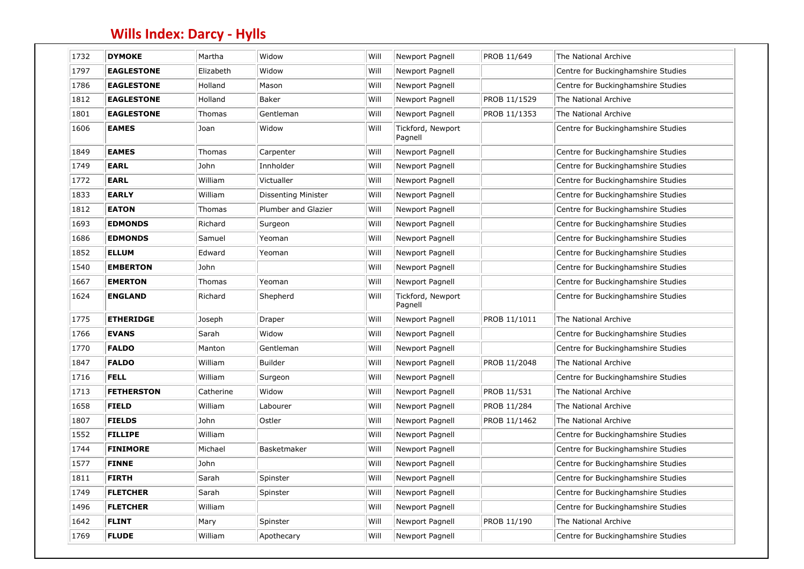| 1732 | <b>DYMOKE</b>     | Martha    | Widow               | Will | Newport Pagnell              | PROB 11/649  | The National Archive               |
|------|-------------------|-----------|---------------------|------|------------------------------|--------------|------------------------------------|
| 1797 | <b>EAGLESTONE</b> | Elizabeth | Widow               | Will | Newport Pagnell              |              | Centre for Buckinghamshire Studies |
| 1786 | <b>EAGLESTONE</b> | Holland   | Mason               | Will | Newport Pagnell              |              | Centre for Buckinghamshire Studies |
| 1812 | <b>EAGLESTONE</b> | Holland   | Baker               | Will | Newport Pagnell              | PROB 11/1529 | The National Archive               |
| 1801 | <b>EAGLESTONE</b> | Thomas    | Gentleman           | Will | Newport Pagnell              | PROB 11/1353 | The National Archive               |
| 1606 | <b>EAMES</b>      | Joan      | Widow               | Will | Tickford, Newport<br>Pagnell |              | Centre for Buckinghamshire Studies |
| 1849 | <b>EAMES</b>      | Thomas    | Carpenter           | Will | Newport Pagnell              |              | Centre for Buckinghamshire Studies |
| 1749 | <b>EARL</b>       | John      | Innholder           | Will | Newport Pagnell              |              | Centre for Buckinghamshire Studies |
| 1772 | <b>EARL</b>       | William   | Victualler          | Will | Newport Pagnell              |              | Centre for Buckinghamshire Studies |
| 1833 | <b>EARLY</b>      | William   | Dissenting Minister | Will | Newport Pagnell              |              | Centre for Buckinghamshire Studies |
| 1812 | <b>EATON</b>      | Thomas    | Plumber and Glazier | Will | Newport Pagnell              |              | Centre for Buckinghamshire Studies |
| 1693 | <b>EDMONDS</b>    | Richard   | Surgeon             | Will | Newport Pagnell              |              | Centre for Buckinghamshire Studies |
| 1686 | <b>EDMONDS</b>    | Samuel    | Yeoman              | Will | Newport Pagnell              |              | Centre for Buckinghamshire Studies |
| 1852 | <b>ELLUM</b>      | Edward    | Yeoman              | Will | Newport Pagnell              |              | Centre for Buckinghamshire Studies |
| 1540 | <b>EMBERTON</b>   | John      |                     | Will | Newport Pagnell              |              | Centre for Buckinghamshire Studies |
| 1667 | <b>EMERTON</b>    | Thomas    | Yeoman              | Will | Newport Pagnell              |              | Centre for Buckinghamshire Studies |
| 1624 | <b>ENGLAND</b>    | Richard   | Shepherd            | Will | Tickford, Newport<br>Pagnell |              | Centre for Buckinghamshire Studies |
| 1775 | <b>ETHERIDGE</b>  | Joseph    | Draper              | Will | Newport Pagnell              | PROB 11/1011 | The National Archive               |
| 1766 | <b>EVANS</b>      | Sarah     | Widow               | Will | Newport Pagnell              |              | Centre for Buckinghamshire Studies |
| 1770 | <b>FALDO</b>      | Manton    | Gentleman           | Will | Newport Pagnell              |              | Centre for Buckinghamshire Studies |
| 1847 | <b>FALDO</b>      | William   | <b>Builder</b>      | Will | Newport Pagnell              | PROB 11/2048 | The National Archive               |
| 1716 | <b>FELL</b>       | William   | Surgeon             | Will | Newport Pagnell              |              | Centre for Buckinghamshire Studies |
| 1713 | <b>FETHERSTON</b> | Catherine | Widow               | Will | Newport Pagnell              | PROB 11/531  | The National Archive               |
| 1658 | <b>FIELD</b>      | William   | Labourer            | Will | Newport Pagnell              | PROB 11/284  | The National Archive               |
| 1807 | <b>FIELDS</b>     | John      | Ostler              | Will | Newport Pagnell              | PROB 11/1462 | The National Archive               |
| 1552 | <b>FILLIPE</b>    | William   |                     | Will | Newport Pagnell              |              | Centre for Buckinghamshire Studies |
| 1744 | <b>FINIMORE</b>   | Michael   | Basketmaker         | Will | Newport Pagnell              |              | Centre for Buckinghamshire Studies |
| 1577 | <b>FINNE</b>      | John      |                     | Will | Newport Pagnell              |              | Centre for Buckinghamshire Studies |
| 1811 | <b>FIRTH</b>      | Sarah     | Spinster            | Will | Newport Pagnell              |              | Centre for Buckinghamshire Studies |
| 1749 | <b>FLETCHER</b>   | Sarah     | Spinster            | Will | Newport Pagnell              |              | Centre for Buckinghamshire Studies |
| 1496 | <b>FLETCHER</b>   | William   |                     | Will | Newport Pagnell              |              | Centre for Buckinghamshire Studies |
| 1642 | <b>FLINT</b>      | Mary      | Spinster            | Will | Newport Pagnell              | PROB 11/190  | The National Archive               |
| 1769 | <b>FLUDE</b>      | William   | Apothecary          | Will | Newport Pagnell              |              | Centre for Buckinghamshire Studies |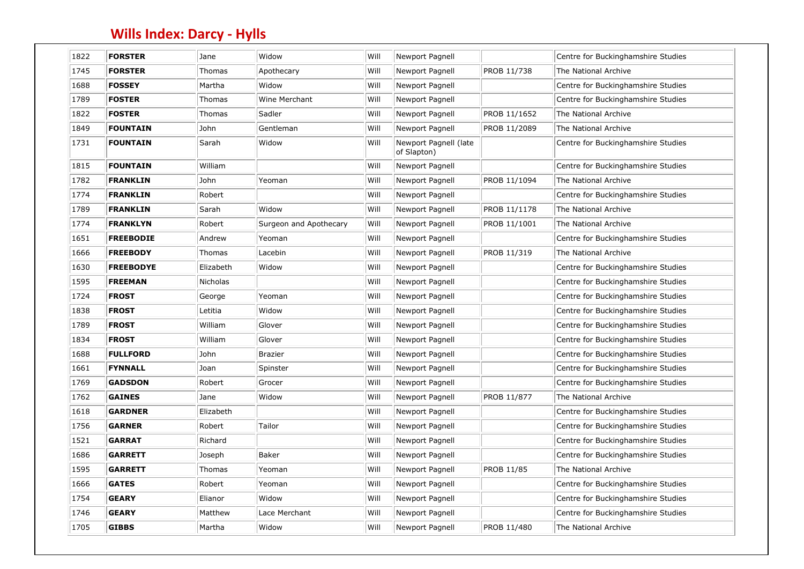| 1822 | <b>FORSTER</b>   | Jane      | Widow                  | Will | Newport Pagnell                      |                   | Centre for Buckinghamshire Studies |
|------|------------------|-----------|------------------------|------|--------------------------------------|-------------------|------------------------------------|
| 1745 | <b>FORSTER</b>   | Thomas    | Apothecary             | Will | Newport Pagnell                      | PROB 11/738       | The National Archive               |
| 1688 | <b>FOSSEY</b>    | Martha    | Widow                  | Will | Newport Pagnell                      |                   | Centre for Buckinghamshire Studies |
| 1789 | <b>FOSTER</b>    | Thomas    | Wine Merchant          | Will | Newport Pagnell                      |                   | Centre for Buckinghamshire Studies |
| 1822 | <b>FOSTER</b>    | Thomas    | Sadler                 | Will | Newport Pagnell                      | PROB 11/1652      | The National Archive               |
| 1849 | <b>FOUNTAIN</b>  | John      | Gentleman              | Will | Newport Pagnell                      | PROB 11/2089      | The National Archive               |
| 1731 | <b>FOUNTAIN</b>  | Sarah     | Widow                  | Will | Newport Pagnell (late<br>of Slapton) |                   | Centre for Buckinghamshire Studies |
| 1815 | <b>FOUNTAIN</b>  | William   |                        | Will | Newport Pagnell                      |                   | Centre for Buckinghamshire Studies |
| 1782 | <b>FRANKLIN</b>  | John      | Yeoman                 | Will | Newport Pagnell                      | PROB 11/1094      | The National Archive               |
| 1774 | <b>FRANKLIN</b>  | Robert    |                        | Will | Newport Pagnell                      |                   | Centre for Buckinghamshire Studies |
| 1789 | <b>FRANKLIN</b>  | Sarah     | Widow                  | Will | Newport Pagnell                      | PROB 11/1178      | The National Archive               |
| 1774 | <b>FRANKLYN</b>  | Robert    | Surgeon and Apothecary | Will | Newport Pagnell                      | PROB 11/1001      | The National Archive               |
| 1651 | <b>FREEBODIE</b> | Andrew    | Yeoman                 | Will | Newport Pagnell                      |                   | Centre for Buckinghamshire Studies |
| 1666 | <b>FREEBODY</b>  | Thomas    | Lacebin                | Will | Newport Pagnell                      | PROB 11/319       | The National Archive               |
| 1630 | <b>FREEBODYE</b> | Elizabeth | Widow                  | Will | Newport Pagnell                      |                   | Centre for Buckinghamshire Studies |
| 1595 | <b>FREEMAN</b>   | Nicholas  |                        | Will | Newport Pagnell                      |                   | Centre for Buckinghamshire Studies |
| 1724 | <b>FROST</b>     | George    | Yeoman                 | Will | Newport Pagnell                      |                   | Centre for Buckinghamshire Studies |
| 1838 | <b>FROST</b>     | Letitia   | Widow                  | Will | Newport Pagnell                      |                   | Centre for Buckinghamshire Studies |
| 1789 | <b>FROST</b>     | William   | Glover                 | Will | Newport Pagnell                      |                   | Centre for Buckinghamshire Studies |
| 1834 | <b>FROST</b>     | William   | Glover                 | Will | Newport Pagnell                      |                   | Centre for Buckinghamshire Studies |
| 1688 | <b>FULLFORD</b>  | John      | <b>Brazier</b>         | Will | Newport Pagnell                      |                   | Centre for Buckinghamshire Studies |
| 1661 | <b>FYNNALL</b>   | Joan      | Spinster               | Will | Newport Pagnell                      |                   | Centre for Buckinghamshire Studies |
| 1769 | <b>GADSDON</b>   | Robert    | Grocer                 | Will | Newport Pagnell                      |                   | Centre for Buckinghamshire Studies |
| 1762 | <b>GAINES</b>    | Jane      | Widow                  | Will | <b>Newport Pagnell</b>               | PROB 11/877       | The National Archive               |
| 1618 | <b>GARDNER</b>   | Elizabeth |                        | Will | Newport Pagnell                      |                   | Centre for Buckinghamshire Studies |
| 1756 | <b>GARNER</b>    | Robert    | Tailor                 | Will | Newport Pagnell                      |                   | Centre for Buckinghamshire Studies |
| 1521 | <b>GARRAT</b>    | Richard   |                        | Will | Newport Pagnell                      |                   | Centre for Buckinghamshire Studies |
| 1686 | <b>GARRETT</b>   | Joseph    | Baker                  | Will | Newport Pagnell                      |                   | Centre for Buckinghamshire Studies |
| 1595 | <b>GARRETT</b>   | Thomas    | Yeoman                 | Will | Newport Pagnell                      | <b>PROB 11/85</b> | The National Archive               |
| 1666 | <b>GATES</b>     | Robert    | Yeoman                 | Will | Newport Pagnell                      |                   | Centre for Buckinghamshire Studies |
| 1754 | <b>GEARY</b>     | Elianor   | Widow                  | Will | Newport Pagnell                      |                   | Centre for Buckinghamshire Studies |
| 1746 | <b>GEARY</b>     | Matthew   | Lace Merchant          | Will | Newport Pagnell                      |                   | Centre for Buckinghamshire Studies |
| 1705 | <b>GIBBS</b>     | Martha    | Widow                  | Will | Newport Pagnell                      | PROB 11/480       | The National Archive               |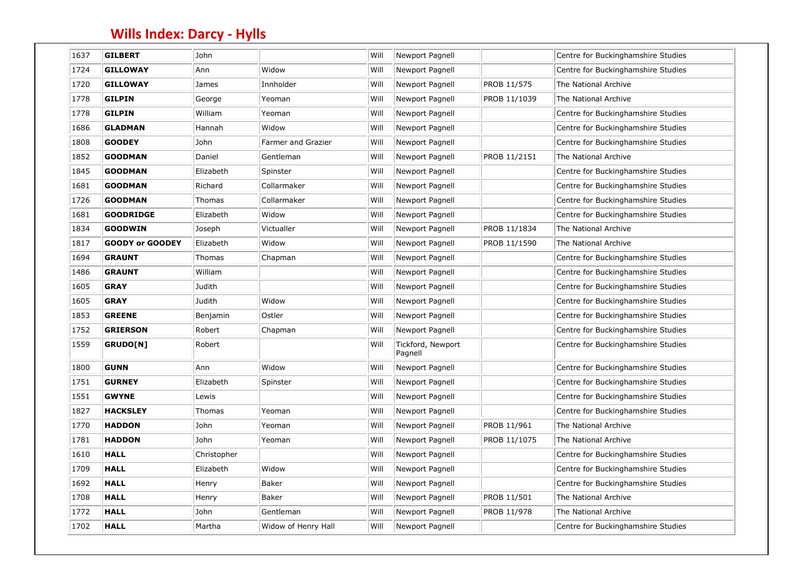| 1637 | <b>GILBERT</b>         | John        |                     | Will | Newport Pagnell              |              | Centre for Buckinghamshire Studies |
|------|------------------------|-------------|---------------------|------|------------------------------|--------------|------------------------------------|
| 1724 | <b>GILLOWAY</b>        | Ann         | Widow               | Will | Newport Pagnell              |              | Centre for Buckinghamshire Studies |
| 1720 | <b>GILLOWAY</b>        | James       | Innholder           | Will | Newport Pagnell              | PROB 11/575  | The National Archive               |
| 1778 | <b>GILPIN</b>          | George      | Yeoman              | Will | Newport Pagnell              | PROB 11/1039 | The National Archive               |
| 1778 | <b>GILPIN</b>          | William     | Yeoman              | Will | Newport Pagnell              |              | Centre for Buckinghamshire Studies |
| 1686 | <b>GLADMAN</b>         | Hannah      | Widow               | Will | Newport Pagnell              |              | Centre for Buckinghamshire Studies |
| 1808 | <b>GOODEY</b>          | John        | Farmer and Grazier  | Will | Newport Pagnell              |              | Centre for Buckinghamshire Studies |
| 1852 | <b>GOODMAN</b>         | Daniel      | Gentleman           | Will | Newport Pagnell              | PROB 11/2151 | The National Archive               |
| 1845 | <b>GOODMAN</b>         | Elizabeth   | Spinster            | Will | Newport Pagnell              |              | Centre for Buckinghamshire Studies |
| 1681 | <b>GOODMAN</b>         | Richard     | Collarmaker         | Will | Newport Pagnell              |              | Centre for Buckinghamshire Studies |
| 1726 | <b>GOODMAN</b>         | Thomas      | Collarmaker         | Will | Newport Pagnell              |              | Centre for Buckinghamshire Studies |
| 1681 | <b>GOODRIDGE</b>       | Elizabeth   | Widow               | Will | Newport Pagnell              |              | Centre for Buckinghamshire Studies |
| 1834 | <b>GOODWIN</b>         | Joseph      | Victualler          | Will | Newport Pagnell              | PROB 11/1834 | The National Archive               |
| 1817 | <b>GOODY or GOODEY</b> | Elizabeth   | Widow               | Will | Newport Pagnell              | PROB 11/1590 | The National Archive               |
| 1694 | <b>GRAUNT</b>          | Thomas      | Chapman             | Will | Newport Pagnell              |              | Centre for Buckinghamshire Studies |
| 1486 | <b>GRAUNT</b>          | William     |                     | Will | Newport Pagnell              |              | Centre for Buckinghamshire Studies |
| 1605 | <b>GRAY</b>            | Judith      |                     | Will | Newport Pagnell              |              | Centre for Buckinghamshire Studies |
| 1605 | <b>GRAY</b>            | Judith      | Widow               | Will | Newport Pagnell              |              | Centre for Buckinghamshire Studies |
| 1853 | <b>GREENE</b>          | Benjamin    | Ostler              | Will | Newport Pagnell              |              | Centre for Buckinghamshire Studies |
| 1752 | <b>GRIERSON</b>        | Robert      | Chapman             | Will | Newport Pagnell              |              | Centre for Buckinghamshire Studies |
| 1559 | GRUDO[N]               | Robert      |                     | Will | Tickford, Newport<br>Pagnell |              | Centre for Buckinghamshire Studies |
| 1800 | <b>GUNN</b>            | Ann         | Widow               | Will | Newport Pagnell              |              | Centre for Buckinghamshire Studies |
| 1751 | <b>GURNEY</b>          | Elizabeth   | Spinster            | Will | Newport Pagnell              |              | Centre for Buckinghamshire Studies |
| 1551 | <b>GWYNE</b>           | Lewis       |                     | Will | Newport Pagnell              |              | Centre for Buckinghamshire Studies |
| 1827 | <b>HACKSLEY</b>        | Thomas      | Yeoman              | Will | Newport Pagnell              |              | Centre for Buckinghamshire Studies |
| 1770 | <b>HADDON</b>          | John        | Yeoman              | Will | Newport Pagnell              | PROB 11/961  | The National Archive               |
| 1781 | <b>HADDON</b>          | John        | Yeoman              | Will | Newport Pagnell              | PROB 11/1075 | The National Archive               |
| 1610 | <b>HALL</b>            | Christopher |                     | Will | Newport Pagnell              |              | Centre for Buckinghamshire Studies |
| 1709 | <b>HALL</b>            | Elizabeth   | Widow               | Will | Newport Pagnell              |              | Centre for Buckinghamshire Studies |
| 1692 | <b>HALL</b>            | Henry       | Baker               | Will | Newport Pagnell              |              | Centre for Buckinghamshire Studies |
| 1708 | <b>HALL</b>            | Henry       | Baker               | Will | Newport Pagnell              | PROB 11/501  | The National Archive               |
| 1772 | <b>HALL</b>            | John        | Gentleman           | Will | Newport Pagnell              | PROB 11/978  | The National Archive               |
| 1702 | <b>HALL</b>            | Martha      | Widow of Henry Hall | Will | Newport Pagnell              |              | Centre for Buckinghamshire Studies |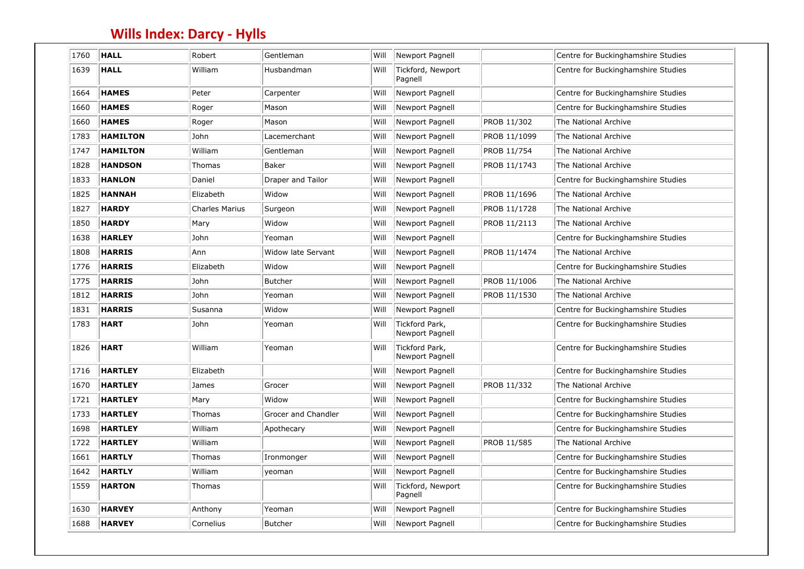| 1760 | <b>HALL</b>     | Robert                | Gentleman           | Will | Newport Pagnell                   |              | Centre for Buckinghamshire Studies |
|------|-----------------|-----------------------|---------------------|------|-----------------------------------|--------------|------------------------------------|
| 1639 | <b>HALL</b>     | William               | Husbandman          | Will | Tickford, Newport<br>Pagnell      |              | Centre for Buckinghamshire Studies |
| 1664 | <b>HAMES</b>    | Peter                 | Carpenter           | Will | Newport Pagnell                   |              | Centre for Buckinghamshire Studies |
| 1660 | <b>HAMES</b>    | Roger                 | Mason               | Will | Newport Pagnell                   |              | Centre for Buckinghamshire Studies |
| 1660 | <b>HAMES</b>    | Roger                 | Mason               | Will | Newport Pagnell                   | PROB 11/302  | The National Archive               |
| 1783 | <b>HAMILTON</b> | John                  | Lacemerchant        | Will | Newport Pagnell                   | PROB 11/1099 | The National Archive               |
| 1747 | <b>HAMILTON</b> | William               | Gentleman           | Will | Newport Pagnell                   | PROB 11/754  | The National Archive               |
| 1828 | <b>HANDSON</b>  | Thomas                | Baker               | Will | Newport Pagnell                   | PROB 11/1743 | The National Archive               |
| 1833 | <b>HANLON</b>   | Daniel                | Draper and Tailor   | Will | Newport Pagnell                   |              | Centre for Buckinghamshire Studies |
| 1825 | <b>HANNAH</b>   | Elizabeth             | Widow               | Will | Newport Pagnell                   | PROB 11/1696 | The National Archive               |
| 1827 | <b>HARDY</b>    | <b>Charles Marius</b> | Surgeon             | Will | Newport Pagnell                   | PROB 11/1728 | The National Archive               |
| 1850 | <b>HARDY</b>    | Mary                  | Widow               | Will | Newport Pagnell                   | PROB 11/2113 | The National Archive               |
| 1638 | <b>HARLEY</b>   | John                  | Yeoman              | Will | Newport Pagnell                   |              | Centre for Buckinghamshire Studies |
| 1808 | <b>HARRIS</b>   | Ann                   | Widow late Servant  | Will | Newport Pagnell                   | PROB 11/1474 | The National Archive               |
| 1776 | <b>HARRIS</b>   | Elizabeth             | Widow               | Will | Newport Pagnell                   |              | Centre for Buckinghamshire Studies |
| 1775 | <b>HARRIS</b>   | John                  | <b>Butcher</b>      | Will | Newport Pagnell                   | PROB 11/1006 | The National Archive               |
| 1812 | <b>HARRIS</b>   | John                  | Yeoman              | Will | Newport Pagnell                   | PROB 11/1530 | The National Archive               |
| 1831 | <b>HARRIS</b>   | Susanna               | Widow               | Will | Newport Pagnell                   |              | Centre for Buckinghamshire Studies |
| 1783 | <b>HART</b>     | John                  | Yeoman              | Will | Tickford Park,<br>Newport Pagnell |              | Centre for Buckinghamshire Studies |
| 1826 | <b>HART</b>     | William               | Yeoman              | Will | Tickford Park,<br>Newport Pagnell |              | Centre for Buckinghamshire Studies |
| 1716 | <b>HARTLEY</b>  | Elizabeth             |                     | Will | Newport Pagnell                   |              | Centre for Buckinghamshire Studies |
| 1670 | <b>HARTLEY</b>  | James                 | Grocer              | Will | Newport Pagnell                   | PROB 11/332  | The National Archive               |
| 1721 | <b>HARTLEY</b>  | Mary                  | Widow               | Will | Newport Pagnell                   |              | Centre for Buckinghamshire Studies |
| 1733 | <b>HARTLEY</b>  | Thomas                | Grocer and Chandler | Will | Newport Pagnell                   |              | Centre for Buckinghamshire Studies |
| 1698 | <b>HARTLEY</b>  | William               | Apothecary          | Will | Newport Pagnell                   |              | Centre for Buckinghamshire Studies |
| 1722 | <b>HARTLEY</b>  | William               |                     | Will | Newport Pagnell                   | PROB 11/585  | The National Archive               |
| 1661 | <b>HARTLY</b>   | Thomas                | Ironmonger          | Will | Newport Pagnell                   |              | Centre for Buckinghamshire Studies |
| 1642 | <b>HARTLY</b>   | William               | yeoman              | Will | Newport Pagnell                   |              | Centre for Buckinghamshire Studies |
| 1559 | <b>HARTON</b>   | Thomas                |                     | Will | Tickford, Newport<br>Pagnell      |              | Centre for Buckinghamshire Studies |
| 1630 | <b>HARVEY</b>   | Anthony               | Yeoman              | Will | Newport Pagnell                   |              | Centre for Buckinghamshire Studies |
| 1688 | <b>HARVEY</b>   | Cornelius             | <b>Butcher</b>      | Will | Newport Pagnell                   |              | Centre for Buckinghamshire Studies |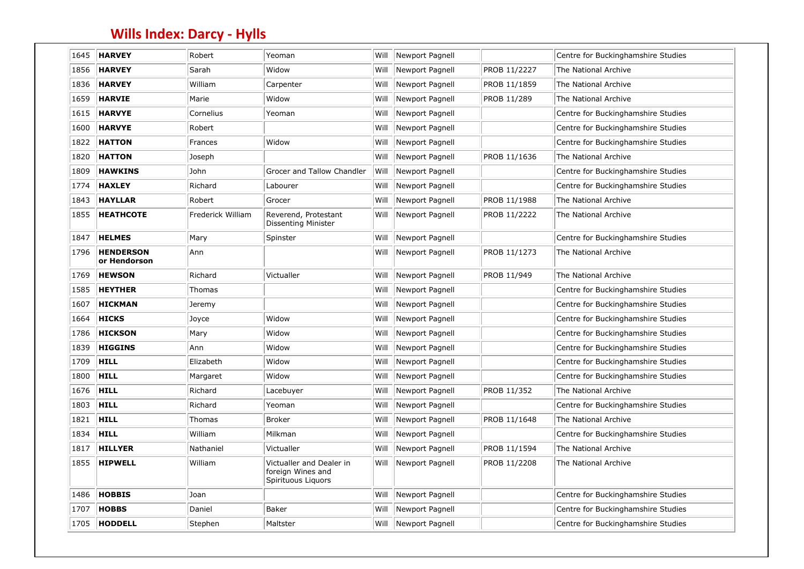| 1645 | <b>HARVEY</b>                    | Robert            | Yeoman                                                              | Will | Newport Pagnell |              | Centre for Buckinghamshire Studies |
|------|----------------------------------|-------------------|---------------------------------------------------------------------|------|-----------------|--------------|------------------------------------|
| 1856 | <b>HARVEY</b>                    | Sarah             | Widow                                                               | Will | Newport Pagnell | PROB 11/2227 | The National Archive               |
| 1836 | <b>HARVEY</b>                    | William           | Carpenter                                                           | Will | Newport Pagnell | PROB 11/1859 | The National Archive               |
| 1659 | <b>HARVIE</b>                    | Marie             | Widow                                                               | Will | Newport Pagnell | PROB 11/289  | The National Archive               |
| 1615 | <b>HARVYE</b>                    | Cornelius         | Yeoman                                                              | Will | Newport Pagnell |              | Centre for Buckinghamshire Studies |
| 1600 | <b>HARVYE</b>                    | Robert            |                                                                     | Will | Newport Pagnell |              | Centre for Buckinghamshire Studies |
| 1822 | <b>HATTON</b>                    | Frances           | Widow                                                               | Will | Newport Pagnell |              | Centre for Buckinghamshire Studies |
| 1820 | <b>HATTON</b>                    | Joseph            |                                                                     | Will | Newport Pagnell | PROB 11/1636 | The National Archive               |
| 1809 | <b>HAWKINS</b>                   | John              | Grocer and Tallow Chandler                                          | Will | Newport Pagnell |              | Centre for Buckinghamshire Studies |
| 1774 | <b>HAXLEY</b>                    | Richard           | Labourer                                                            | Will | Newport Pagnell |              | Centre for Buckinghamshire Studies |
| 1843 | <b>HAYLLAR</b>                   | Robert            | Grocer                                                              | Will | Newport Pagnell | PROB 11/1988 | The National Archive               |
| 1855 | <b>HEATHCOTE</b>                 | Frederick William | Reverend, Protestant<br><b>Dissenting Minister</b>                  | Will | Newport Pagnell | PROB 11/2222 | The National Archive               |
| 1847 | <b>HELMES</b>                    | Mary              | Spinster                                                            | Will | Newport Pagnell |              | Centre for Buckinghamshire Studies |
| 1796 | <b>HENDERSON</b><br>or Hendorson | Ann               |                                                                     | Will | Newport Pagnell | PROB 11/1273 | The National Archive               |
| 1769 | <b>HEWSON</b>                    | Richard           | Victualler                                                          | Will | Newport Pagnell | PROB 11/949  | The National Archive               |
| 1585 | <b>HEYTHER</b>                   | Thomas            |                                                                     | Will | Newport Pagnell |              | Centre for Buckinghamshire Studies |
| 1607 | <b>HICKMAN</b>                   | Jeremy            |                                                                     | Will | Newport Pagnell |              | Centre for Buckinghamshire Studies |
| 1664 | <b>HICKS</b>                     | Joyce             | Widow                                                               | Will | Newport Pagnell |              | Centre for Buckinghamshire Studies |
| 1786 | <b>HICKSON</b>                   | Mary              | Widow                                                               | Will | Newport Pagnell |              | Centre for Buckinghamshire Studies |
| 1839 | <b>HIGGINS</b>                   | Ann               | Widow                                                               | Will | Newport Pagnell |              | Centre for Buckinghamshire Studies |
| 1709 | <b>HILL</b>                      | Elizabeth         | Widow                                                               | Will | Newport Pagnell |              | Centre for Buckinghamshire Studies |
| 1800 | <b>HILL</b>                      | Margaret          | Widow                                                               | Will | Newport Pagnell |              | Centre for Buckinghamshire Studies |
| 1676 | <b>HILL</b>                      | Richard           | Lacebuyer                                                           | Will | Newport Pagnell | PROB 11/352  | The National Archive               |
| 1803 | <b>HILL</b>                      | Richard           | Yeoman                                                              | Will | Newport Pagnell |              | Centre for Buckinghamshire Studies |
| 1821 | <b>HILL</b>                      | Thomas            | <b>Broker</b>                                                       | Will | Newport Pagnell | PROB 11/1648 | The National Archive               |
| 1834 | <b>HILL</b>                      | William           | Milkman                                                             | Will | Newport Pagnell |              | Centre for Buckinghamshire Studies |
| 1817 | HILLYER                          | Nathaniel         | Victualler                                                          | Will | Newport Pagnell | PROB 11/1594 | The National Archive               |
| 1855 | <b>HIPWELL</b>                   | William           | Victualler and Dealer in<br>foreign Wines and<br>Spirituous Liquors | Will | Newport Pagnell | PROB 11/2208 | The National Archive               |
| 1486 | <b>HOBBIS</b>                    | Joan              |                                                                     | Will | Newport Pagnell |              | Centre for Buckinghamshire Studies |
| 1707 | <b>HOBBS</b>                     | Daniel            | Baker                                                               | Will | Newport Pagnell |              | Centre for Buckinghamshire Studies |
| 1705 | HODDELL                          | Stephen           | Maltster                                                            | Will | Newport Pagnell |              | Centre for Buckinghamshire Studies |